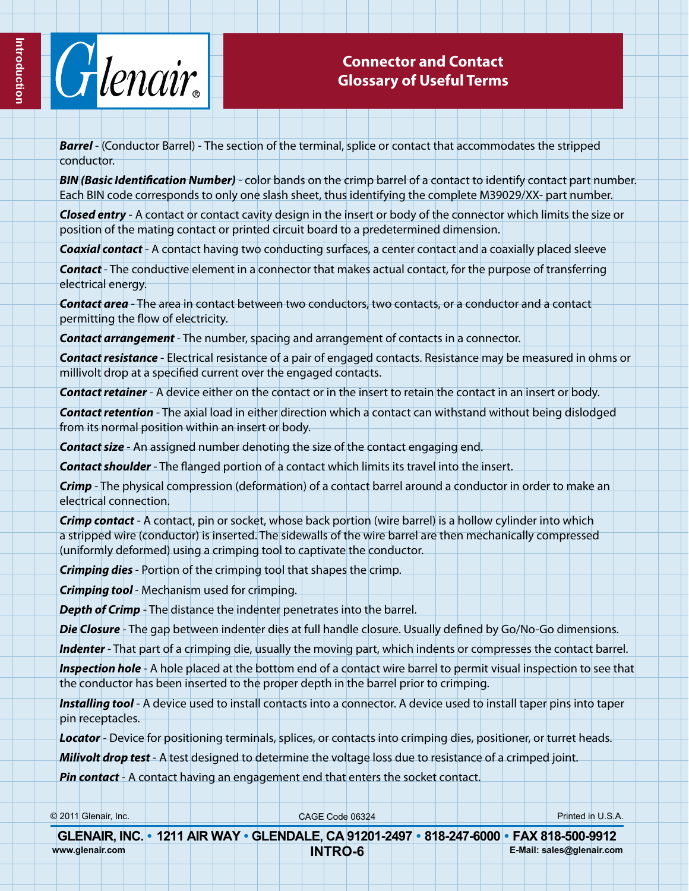

## **Connector and Contact Glossary of Useful Terms**

*Barrel* - (Conductor Barrel) - The section of the terminal, splice or contact that accommodates the stripped conductor.

*BIN (Basic Identification Number)* - color bands on the crimp barrel of a contact to identify contact part number. Each BIN code corresponds to only one slash sheet, thus identifying the complete M39029/XX- part number.

*Closed entry* - A contact or contact cavity design in the insert or body of the connector which limits the size or position of the mating contact or printed circuit board to a predetermined dimension.

*Coaxial contact* - A contact having two conducting surfaces, a center contact and a coaxially placed sleeve

*Contact* - The conductive element in a connector that makes actual contact, for the purpose of transferring electrical energy.

*Contact area* - The area in contact between two conductors, two contacts, or a conductor and a contact permitting the flow of electricity.

*Contact arrangement* - The number, spacing and arrangement of contacts in a connector.

*Contact resistance* - Electrical resistance of a pair of engaged contacts. Resistance may be measured in ohms or millivolt drop at a specified current over the engaged contacts.

*Contact retainer* - A device either on the contact or in the insert to retain the contact in an insert or body.

*Contact retention* - The axial load in either direction which a contact can withstand without being dislodged from its normal position within an insert or body.

*Contact size* - An assigned number denoting the size of the contact engaging end.

*Contact shoulder* - The flanged portion of a contact which limits its travel into the insert.

*Crimp* - The physical compression (deformation) of a contact barrel around a conductor in order to make an electrical connection.

*Crimp contact* - A contact, pin or socket, whose back portion (wire barrel) is a hollow cylinder into which a stripped wire (conductor) is inserted. The sidewalls of the wire barrel are then mechanically compressed (uniformly deformed) using a crimping tool to captivate the conductor.

*Crimping dies* - Portion of the crimping tool that shapes the crimp.

*Crimping tool* - Mechanism used for crimping.

*Depth of Crimp* - The distance the indenter penetrates into the barrel.

*Die Closure* - The gap between indenter dies at full handle closure. Usually defined by Go/No-Go dimensions.

*Indenter* - That part of a crimping die, usually the moving part, which indents or compresses the contact barrel.

*Inspection hole* - A hole placed at the bottom end of a contact wire barrel to permit visual inspection to see that the conductor has been inserted to the proper depth in the barrel prior to crimping.

*Installing tool* - A device used to install contacts into a connector. A device used to install taper pins into taper pin receptacles.

*Locator* - Device for positioning terminals, splices, or contacts into crimping dies, positioner, or turret heads.

*Milivolt drop test* - A test designed to determine the voltage loss due to resistance of a crimped joint.

*Pin contact* - A contact having an engagement end that enters the socket contact.

© 2011 Glenair, Inc. CAGE Code 06324 Printed in U.S.A.

| GLENAIR, INC. • 1211 AIR WAY • GLENDALE, CA 91201-2497 • 818-247-6000 • FAX 818-500-9912 |  |                |  |  |                           |  |
|------------------------------------------------------------------------------------------|--|----------------|--|--|---------------------------|--|
| www.glenair.com                                                                          |  | <b>INTRO-6</b> |  |  | E-Mail: sales@glenair.com |  |